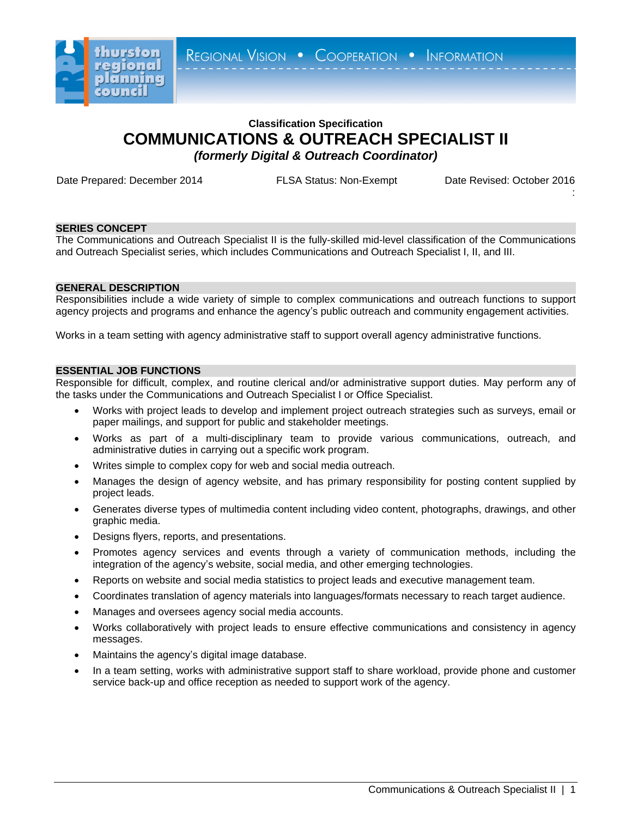

REGIONAL VISION . COOPERATION . INFORMATION

# **Classification Specification COMMUNICATIONS & OUTREACH SPECIALIST II** *(formerly Digital & Outreach Coordinator)*

Date Prepared: December 2014 FLSA Status: Non-Exempt Date Revised: October 2016

:

# **SERIES CONCEPT**

The Communications and Outreach Specialist II is the fully-skilled mid-level classification of the Communications and Outreach Specialist series, which includes Communications and Outreach Specialist I, II, and III.

## **GENERAL DESCRIPTION**

Responsibilities include a wide variety of simple to complex communications and outreach functions to support agency projects and programs and enhance the agency's public outreach and community engagement activities.

Works in a team setting with agency administrative staff to support overall agency administrative functions.

## **ESSENTIAL JOB FUNCTIONS**

Responsible for difficult, complex, and routine clerical and/or administrative support duties. May perform any of the tasks under the Communications and Outreach Specialist I or Office Specialist.

- Works with project leads to develop and implement project outreach strategies such as surveys, email or paper mailings, and support for public and stakeholder meetings.
- Works as part of a multi-disciplinary team to provide various communications, outreach, and administrative duties in carrying out a specific work program.
- Writes simple to complex copy for web and social media outreach.
- Manages the design of agency website, and has primary responsibility for posting content supplied by project leads.
- Generates diverse types of multimedia content including video content, photographs, drawings, and other graphic media.
- Designs flyers, reports, and presentations.
- Promotes agency services and events through a variety of communication methods, including the integration of the agency's website, social media, and other emerging technologies.
- Reports on website and social media statistics to project leads and executive management team.
- Coordinates translation of agency materials into languages/formats necessary to reach target audience.
- Manages and oversees agency social media accounts.
- Works collaboratively with project leads to ensure effective communications and consistency in agency messages.
- Maintains the agency's digital image database.
- In a team setting, works with administrative support staff to share workload, provide phone and customer service back-up and office reception as needed to support work of the agency.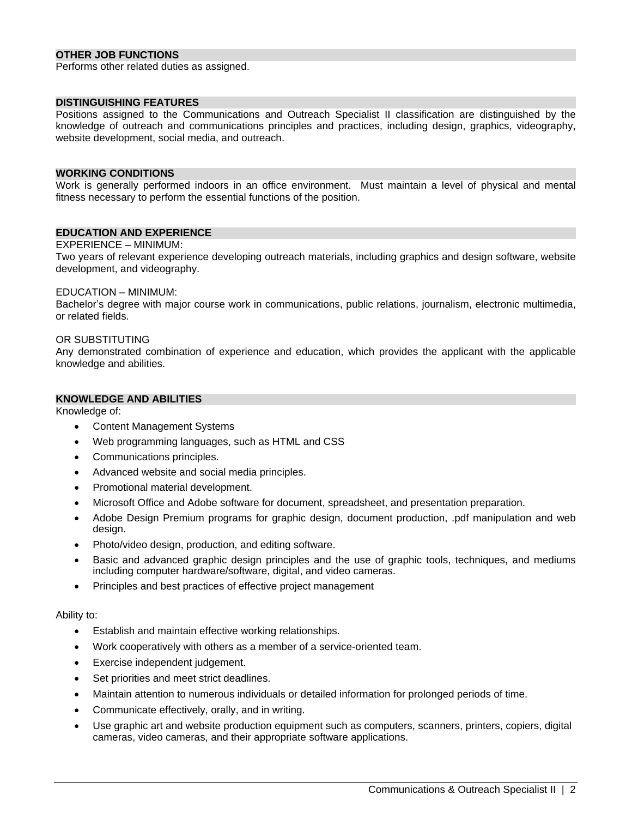# **OTHER JOB FUNCTIONS**

Performs other related duties as assigned.

## **DISTINGUISHING FEATURES**

Positions assigned to the Communications and Outreach Specialist II classification are distinguished by the knowledge of outreach and communications principles and practices, including design, graphics, videography, website development, social media, and outreach.

#### **WORKING CONDITIONS**

Work is generally performed indoors in an office environment. Must maintain a level of physical and mental fitness necessary to perform the essential functions of the position.

# **EDUCATION AND EXPERIENCE**

#### EXPERIENCE – MINIMUM:

Two years of relevant experience developing outreach materials, including graphics and design software, website development, and videography.

#### EDUCATION – MINIMUM:

Bachelor's degree with major course work in communications, public relations, journalism, electronic multimedia, or related fields.

#### OR SUBSTITUTING

Any demonstrated combination of experience and education, which provides the applicant with the applicable knowledge and abilities.

### **KNOWLEDGE AND ABILITIES**

Knowledge of:

- Content Management Systems
- Web programming languages, such as HTML and CSS
- Communications principles.
- Advanced website and social media principles.
- Promotional material development.
- Microsoft Office and Adobe software for document, spreadsheet, and presentation preparation.
- Adobe Design Premium programs for graphic design, document production, .pdf manipulation and web design.
- Photo/video design, production, and editing software.
- Basic and advanced graphic design principles and the use of graphic tools, techniques, and mediums including computer hardware/software, digital, and video cameras.
- Principles and best practices of effective project management

#### Ability to:

- **Establish and maintain effective working relationships.**
- Work cooperatively with others as a member of a service-oriented team.
- Exercise independent judgement.
- Set priorities and meet strict deadlines.
- Maintain attention to numerous individuals or detailed information for prolonged periods of time.
- Communicate effectively, orally, and in writing.
- Use graphic art and website production equipment such as computers, scanners, printers, copiers, digital cameras, video cameras, and their appropriate software applications.